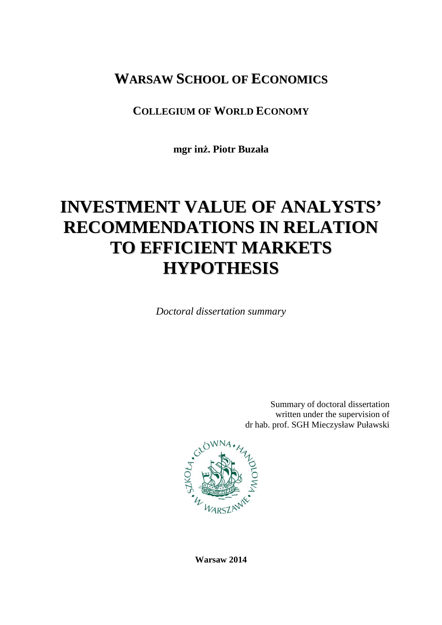## **WARSAW SCHOOL OF ECONOMICS**

### **COLLEGIUM OF WORLD ECONOMY**

**mgr inż. Piotr Buzała** 

# **INVESTMENT VALUE OF ANALYSTS' RECOMMENDATIONS IN RELATION TO EFFICIENT MARKETS HYPOTHESIS**

*Doctoral dissertation summary* 

Summary of doctoral dissertation written under the supervision of dr hab. prof. SGH Mieczysław Puławski



**Warsaw 2014**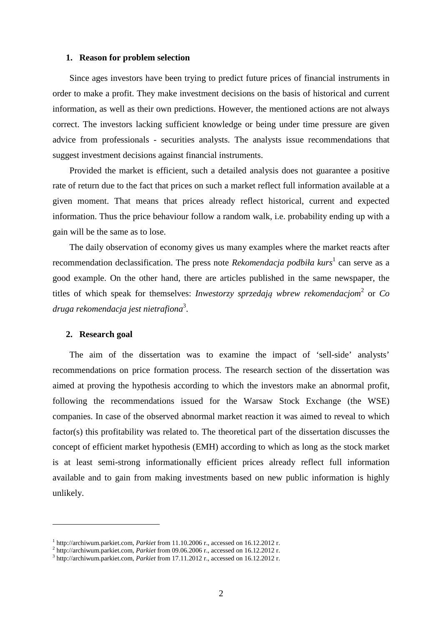#### **1. Reason for problem selection**

Since ages investors have been trying to predict future prices of financial instruments in order to make a profit. They make investment decisions on the basis of historical and current information, as well as their own predictions. However, the mentioned actions are not always correct. The investors lacking sufficient knowledge or being under time pressure are given advice from professionals - securities analysts. The analysts issue recommendations that suggest investment decisions against financial instruments.

Provided the market is efficient, such a detailed analysis does not guarantee a positive rate of return due to the fact that prices on such a market reflect full information available at a given moment. That means that prices already reflect historical, current and expected information. Thus the price behaviour follow a random walk, i.e. probability ending up with a gain will be the same as to lose.

The daily observation of economy gives us many examples where the market reacts after recommendation declassification. The press note *Rekomendacja podbiła kurs*<sup>1</sup> can serve as a good example. On the other hand, there are articles published in the same newspaper, the titles of which speak for themselves: *Inwestorzy sprzedają wbrew rekomendacjom*<sup>2</sup> or *Co druga rekomendacja jest nietrafiona*<sup>3</sup> .

#### **2. Research goal**

 $\overline{a}$ 

The aim of the dissertation was to examine the impact of 'sell-side' analysts' recommendations on price formation process. The research section of the dissertation was aimed at proving the hypothesis according to which the investors make an abnormal profit, following the recommendations issued for the Warsaw Stock Exchange (the WSE) companies. In case of the observed abnormal market reaction it was aimed to reveal to which factor(s) this profitability was related to. The theoretical part of the dissertation discusses the concept of efficient market hypothesis (EMH) according to which as long as the stock market is at least semi-strong informationally efficient prices already reflect full information available and to gain from making investments based on new public information is highly unlikely.

<sup>1</sup> http://archiwum.parkiet.com, *Parkiet* from 11.10.2006 r., accessed on 16.12.2012 r.

<sup>2</sup> http://archiwum.parkiet.com, *Parkiet* from 09.06.2006 r., accessed on 16.12.2012 r.

<sup>3</sup> http://archiwum.parkiet.com, *Parkiet* from 17.11.2012 r., accessed on 16.12.2012 r.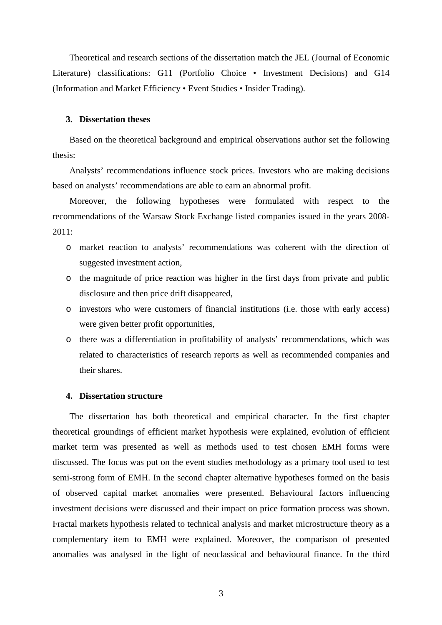Theoretical and research sections of the dissertation match the JEL (Journal of Economic Literature) classifications: G11 (Portfolio Choice • Investment Decisions) and G14 (Information and Market Efficiency • Event Studies • Insider Trading).

#### **3. Dissertation theses**

Based on the theoretical background and empirical observations author set the following thesis:

Analysts' recommendations influence stock prices. Investors who are making decisions based on analysts' recommendations are able to earn an abnormal profit.

Moreover, the following hypotheses were formulated with respect to the recommendations of the Warsaw Stock Exchange listed companies issued in the years 2008-  $2011:$ 

- o market reaction to analysts' recommendations was coherent with the direction of suggested investment action,
- o the magnitude of price reaction was higher in the first days from private and public disclosure and then price drift disappeared,
- o investors who were customers of financial institutions (i.e. those with early access) were given better profit opportunities,
- o there was a differentiation in profitability of analysts' recommendations, which was related to characteristics of research reports as well as recommended companies and their shares.

#### **4. Dissertation structure**

The dissertation has both theoretical and empirical character. In the first chapter theoretical groundings of efficient market hypothesis were explained, evolution of efficient market term was presented as well as methods used to test chosen EMH forms were discussed. The focus was put on the event studies methodology as a primary tool used to test semi-strong form of EMH. In the second chapter alternative hypotheses formed on the basis of observed capital market anomalies were presented. Behavioural factors influencing investment decisions were discussed and their impact on price formation process was shown. Fractal markets hypothesis related to technical analysis and market microstructure theory as a complementary item to EMH were explained. Moreover, the comparison of presented anomalies was analysed in the light of neoclassical and behavioural finance. In the third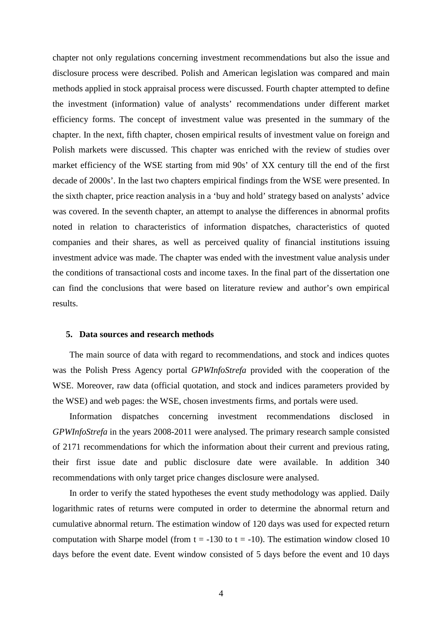chapter not only regulations concerning investment recommendations but also the issue and disclosure process were described. Polish and American legislation was compared and main methods applied in stock appraisal process were discussed. Fourth chapter attempted to define the investment (information) value of analysts' recommendations under different market efficiency forms. The concept of investment value was presented in the summary of the chapter. In the next, fifth chapter, chosen empirical results of investment value on foreign and Polish markets were discussed. This chapter was enriched with the review of studies over market efficiency of the WSE starting from mid 90s' of XX century till the end of the first decade of 2000s'. In the last two chapters empirical findings from the WSE were presented. In the sixth chapter, price reaction analysis in a 'buy and hold' strategy based on analysts' advice was covered. In the seventh chapter, an attempt to analyse the differences in abnormal profits noted in relation to characteristics of information dispatches, characteristics of quoted companies and their shares, as well as perceived quality of financial institutions issuing investment advice was made. The chapter was ended with the investment value analysis under the conditions of transactional costs and income taxes. In the final part of the dissertation one can find the conclusions that were based on literature review and author's own empirical results.

#### **5. Data sources and research methods**

The main source of data with regard to recommendations, and stock and indices quotes was the Polish Press Agency portal *GPWInfoStrefa* provided with the cooperation of the WSE. Moreover, raw data (official quotation, and stock and indices parameters provided by the WSE) and web pages: the WSE, chosen investments firms, and portals were used.

Information dispatches concerning investment recommendations disclosed in *GPWInfoStrefa* in the years 2008-2011 were analysed. The primary research sample consisted of 2171 recommendations for which the information about their current and previous rating, their first issue date and public disclosure date were available. In addition 340 recommendations with only target price changes disclosure were analysed.

In order to verify the stated hypotheses the event study methodology was applied. Daily logarithmic rates of returns were computed in order to determine the abnormal return and cumulative abnormal return. The estimation window of 120 days was used for expected return computation with Sharpe model (from  $t = -130$  to  $t = -10$ ). The estimation window closed 10 days before the event date. Event window consisted of 5 days before the event and 10 days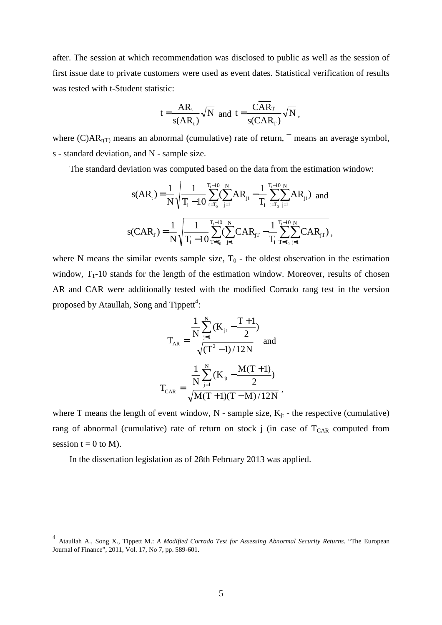after. The session at which recommendation was disclosed to public as well as the session of first issue date to private customers were used as event dates. Statistical verification of results was tested with t-Student statistic:

$$
t = {\overline{AR_t} \over s(AR_t)} \sqrt{N}
$$
 and  $t = {\overline{CAR_T} \over s(CAR_T)} \sqrt{N}$ ,

where  $(C)AR_{t(T)}$  means an abnormal (cumulative) rate of return,  $\bar{ }$  means an average symbol, s - standard deviation, and N - sample size.

The standard deviation was computed based on the data from the estimation window:

$$
s(AR_t) = \frac{1}{N} \sqrt{\frac{1}{T_i - 10} \sum_{t = T_0}^{T_i - 10} (\sum_{j=1}^{N} AR_{jt} - \frac{1}{T_i} \sum_{t = T_0}^{T_i - 10} \sum_{j=1}^{N} AR_{jt})} \text{ and }
$$
  

$$
s(CAR_T) = \frac{1}{N} \sqrt{\frac{1}{T_i - 10} \sum_{T = T_0}^{T_i - 10} (\sum_{j=1}^{N} CAR_{jT} - \frac{1}{T_i} \sum_{T = T_0}^{T_i - 10} \sum_{j=1}^{N} CAR_{jT})},
$$

where N means the similar events sample size,  $T_0$  - the oldest observation in the estimation window,  $T_1$ -10 stands for the length of the estimation window. Moreover, results of chosen AR and CAR were additionally tested with the modified Corrado rang test in the version proposed by Ataullah, Song and Tippett<sup>4</sup>:

$$
T_{AR} = \frac{\frac{1}{N} \sum_{j=1}^{N} (K_{jt} - \frac{T+1}{2})}{\sqrt{(T^2 - 1)/12N}} \text{ and}
$$

$$
T_{CAR} = \frac{\frac{1}{N} \sum_{j=1}^{N} (K_{jt} - \frac{M(T+1)}{2})}{\sqrt{M(T+1)(T-M)/12N}},
$$

where T means the length of event window,  $N$  - sample size,  $K_{jt}$  - the respective (cumulative) rang of abnormal (cumulative) rate of return on stock j (in case of  $T_{CAR}$  computed from session  $t = 0$  to M).

In the dissertation legislation as of 28th February 2013 was applied.

 $\overline{a}$ 

<sup>4</sup> Ataullah A., Song X., Tippett M.: *A Modified Corrado Test for Assessing Abnormal Security Returns*. "The European Journal of Finance", 2011, Vol. 17, No 7, pp. 589-601.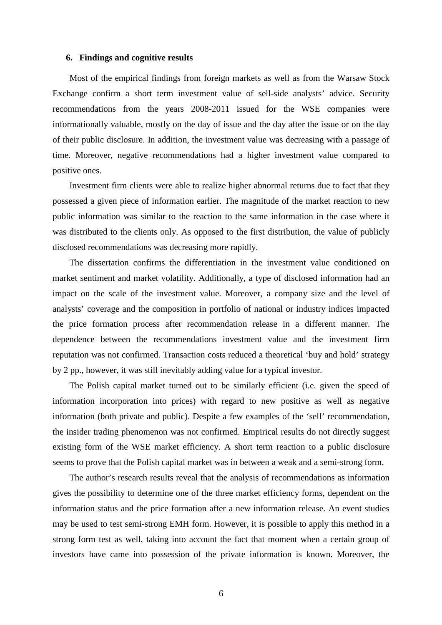#### **6. Findings and cognitive results**

Most of the empirical findings from foreign markets as well as from the Warsaw Stock Exchange confirm a short term investment value of sell-side analysts' advice. Security recommendations from the years 2008-2011 issued for the WSE companies were informationally valuable, mostly on the day of issue and the day after the issue or on the day of their public disclosure. In addition, the investment value was decreasing with a passage of time. Moreover, negative recommendations had a higher investment value compared to positive ones.

Investment firm clients were able to realize higher abnormal returns due to fact that they possessed a given piece of information earlier. The magnitude of the market reaction to new public information was similar to the reaction to the same information in the case where it was distributed to the clients only. As opposed to the first distribution, the value of publicly disclosed recommendations was decreasing more rapidly.

The dissertation confirms the differentiation in the investment value conditioned on market sentiment and market volatility. Additionally, a type of disclosed information had an impact on the scale of the investment value. Moreover, a company size and the level of analysts' coverage and the composition in portfolio of national or industry indices impacted the price formation process after recommendation release in a different manner. The dependence between the recommendations investment value and the investment firm reputation was not confirmed. Transaction costs reduced a theoretical 'buy and hold' strategy by 2 pp., however, it was still inevitably adding value for a typical investor.

The Polish capital market turned out to be similarly efficient (i.e. given the speed of information incorporation into prices) with regard to new positive as well as negative information (both private and public). Despite a few examples of the 'sell' recommendation, the insider trading phenomenon was not confirmed. Empirical results do not directly suggest existing form of the WSE market efficiency. A short term reaction to a public disclosure seems to prove that the Polish capital market was in between a weak and a semi-strong form.

The author's research results reveal that the analysis of recommendations as information gives the possibility to determine one of the three market efficiency forms, dependent on the information status and the price formation after a new information release. An event studies may be used to test semi-strong EMH form. However, it is possible to apply this method in a strong form test as well, taking into account the fact that moment when a certain group of investors have came into possession of the private information is known. Moreover, the